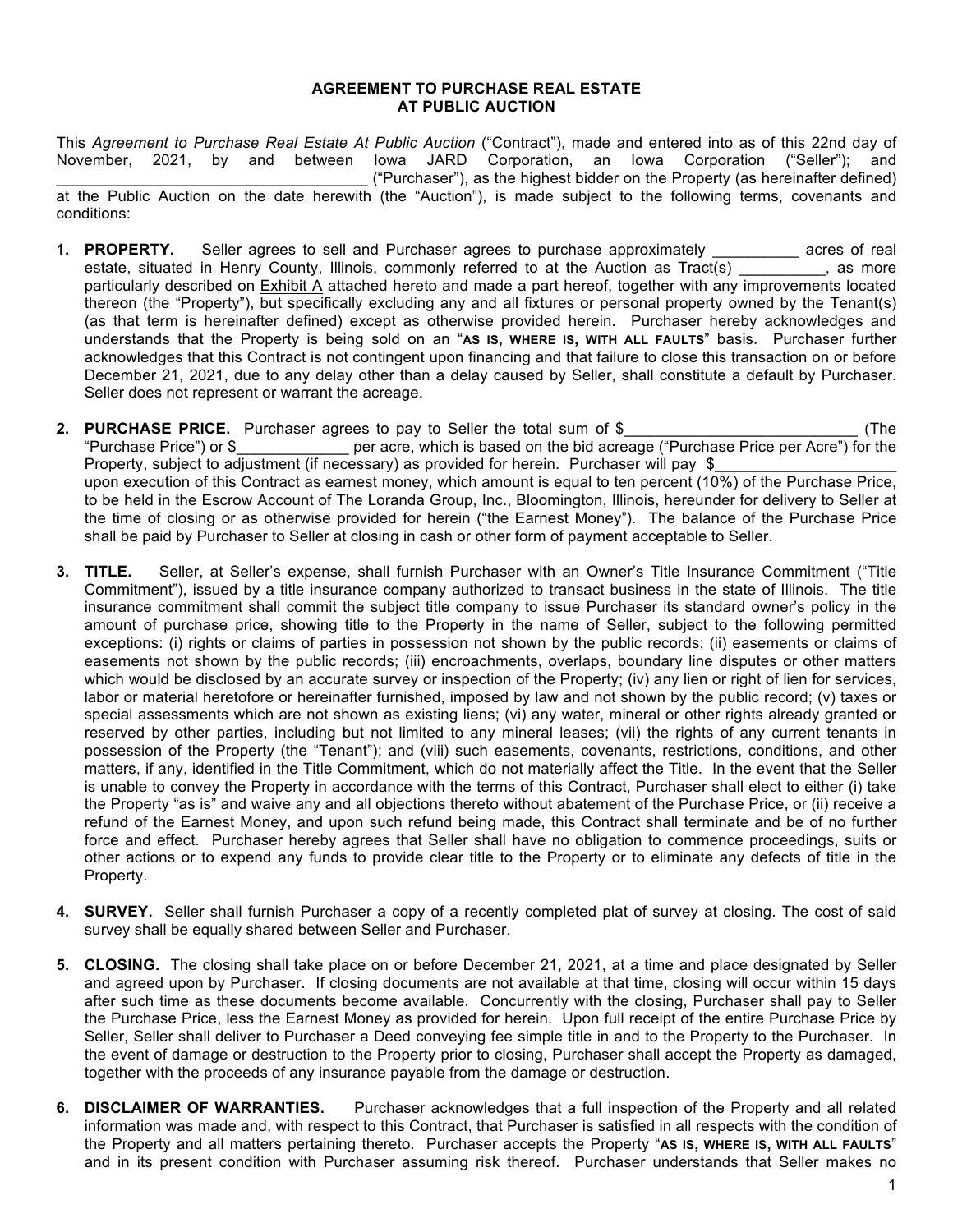#### **AGREEMENT TO PURCHASE REAL ESTATE AT PUBLIC AUCTION**

This *Agreement to Purchase Real Estate At Public Auction* ("Contract"), made and entered into as of this 22nd day of November, 2021, by and between Iowa JARD Corporation, an Iowa Corporation ("Seller"); and \_\_\_\_\_\_\_\_\_\_\_\_\_\_\_\_\_\_\_\_\_\_\_\_\_\_\_\_\_\_\_\_\_\_\_\_ ("Purchaser"), as the highest bidder on the Property (as hereinafter defined) at the Public Auction on the date herewith (the "Auction"), is made subject to the following terms, covenants and conditions:

- **1. PROPERTY.** Seller agrees to sell and Purchaser agrees to purchase approximately \_\_\_\_\_\_\_\_\_\_ acres of real estate, situated in Henry County, Illinois, commonly referred to at the Auction as Tract(s) \_\_\_\_\_\_\_\_, as more particularly described on Exhibit A attached hereto and made a part hereof, together with any improvements located thereon (the "Property"), but specifically excluding any and all fixtures or personal property owned by the Tenant(s) (as that term is hereinafter defined) except as otherwise provided herein. Purchaser hereby acknowledges and understands that the Property is being sold on an "**AS IS, WHERE IS, WITH ALL FAULTS**" basis. Purchaser further acknowledges that this Contract is not contingent upon financing and that failure to close this transaction on or before December 21, 2021, due to any delay other than a delay caused by Seller, shall constitute a default by Purchaser. Seller does not represent or warrant the acreage.
- **2. PURCHASE PRICE.** Purchaser agrees to pay to Seller the total sum of \$\_\_\_\_\_\_\_\_\_\_\_\_\_\_\_\_\_\_\_\_\_\_\_\_\_\_\_ (The "Purchase Price") or \$ per acre, which is based on the bid acreage ("Purchase Price per Acre") for the Property, subject to adjustment (if necessary) as provided for herein. Purchaser will pay \$ upon execution of this Contract as earnest money, which amount is equal to ten percent (10%) of the Purchase Price, to be held in the Escrow Account of The Loranda Group, Inc., Bloomington, Illinois, hereunder for delivery to Seller at the time of closing or as otherwise provided for herein ("the Earnest Money"). The balance of the Purchase Price shall be paid by Purchaser to Seller at closing in cash or other form of payment acceptable to Seller.
- **3. TITLE.** Seller, at Seller's expense, shall furnish Purchaser with an Owner's Title Insurance Commitment ("Title Commitment"), issued by a title insurance company authorized to transact business in the state of Illinois. The title insurance commitment shall commit the subject title company to issue Purchaser its standard owner's policy in the amount of purchase price, showing title to the Property in the name of Seller, subject to the following permitted exceptions: (i) rights or claims of parties in possession not shown by the public records; (ii) easements or claims of easements not shown by the public records; (iii) encroachments, overlaps, boundary line disputes or other matters which would be disclosed by an accurate survey or inspection of the Property; (iv) any lien or right of lien for services, labor or material heretofore or hereinafter furnished, imposed by law and not shown by the public record; (v) taxes or special assessments which are not shown as existing liens; (vi) any water, mineral or other rights already granted or reserved by other parties, including but not limited to any mineral leases; (vii) the rights of any current tenants in possession of the Property (the "Tenant"); and (viii) such easements, covenants, restrictions, conditions, and other matters, if any, identified in the Title Commitment, which do not materially affect the Title. In the event that the Seller is unable to convey the Property in accordance with the terms of this Contract, Purchaser shall elect to either (i) take the Property "as is" and waive any and all objections thereto without abatement of the Purchase Price, or (ii) receive a refund of the Earnest Money, and upon such refund being made, this Contract shall terminate and be of no further force and effect. Purchaser hereby agrees that Seller shall have no obligation to commence proceedings, suits or other actions or to expend any funds to provide clear title to the Property or to eliminate any defects of title in the Property.
- **4. SURVEY.** Seller shall furnish Purchaser a copy of a recently completed plat of survey at closing. The cost of said survey shall be equally shared between Seller and Purchaser.
- **5. CLOSING.** The closing shall take place on or before December 21, 2021, at a time and place designated by Seller and agreed upon by Purchaser. If closing documents are not available at that time, closing will occur within 15 days after such time as these documents become available. Concurrently with the closing, Purchaser shall pay to Seller the Purchase Price, less the Earnest Money as provided for herein. Upon full receipt of the entire Purchase Price by Seller, Seller shall deliver to Purchaser a Deed conveying fee simple title in and to the Property to the Purchaser. In the event of damage or destruction to the Property prior to closing, Purchaser shall accept the Property as damaged, together with the proceeds of any insurance payable from the damage or destruction.
- **6. DISCLAIMER OF WARRANTIES.** Purchaser acknowledges that a full inspection of the Property and all related information was made and, with respect to this Contract, that Purchaser is satisfied in all respects with the condition of the Property and all matters pertaining thereto. Purchaser accepts the Property "**AS IS, WHERE IS, WITH ALL FAULTS**" and in its present condition with Purchaser assuming risk thereof. Purchaser understands that Seller makes no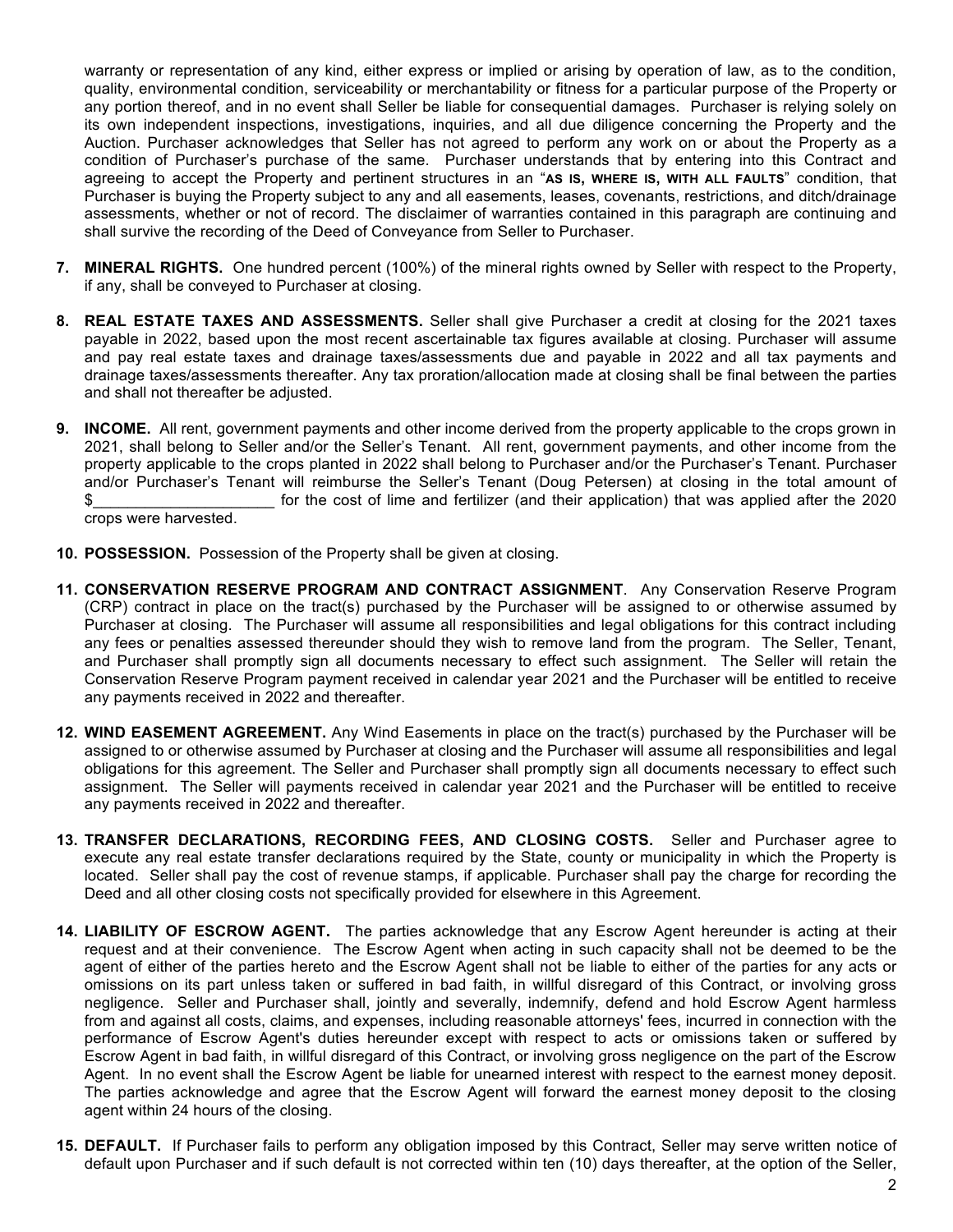warranty or representation of any kind, either express or implied or arising by operation of law, as to the condition, quality, environmental condition, serviceability or merchantability or fitness for a particular purpose of the Property or any portion thereof, and in no event shall Seller be liable for consequential damages. Purchaser is relying solely on its own independent inspections, investigations, inquiries, and all due diligence concerning the Property and the Auction. Purchaser acknowledges that Seller has not agreed to perform any work on or about the Property as a condition of Purchaser's purchase of the same. Purchaser understands that by entering into this Contract and agreeing to accept the Property and pertinent structures in an "**AS IS, WHERE IS, WITH ALL FAULTS**" condition, that Purchaser is buying the Property subject to any and all easements, leases, covenants, restrictions, and ditch/drainage assessments, whether or not of record. The disclaimer of warranties contained in this paragraph are continuing and shall survive the recording of the Deed of Conveyance from Seller to Purchaser.

- **7. MINERAL RIGHTS.** One hundred percent (100%) of the mineral rights owned by Seller with respect to the Property, if any, shall be conveyed to Purchaser at closing.
- **8. REAL ESTATE TAXES AND ASSESSMENTS.** Seller shall give Purchaser a credit at closing for the 2021 taxes payable in 2022, based upon the most recent ascertainable tax figures available at closing. Purchaser will assume and pay real estate taxes and drainage taxes/assessments due and payable in 2022 and all tax payments and drainage taxes/assessments thereafter. Any tax proration/allocation made at closing shall be final between the parties and shall not thereafter be adjusted.
- **9. INCOME.** All rent, government payments and other income derived from the property applicable to the crops grown in 2021, shall belong to Seller and/or the Seller's Tenant. All rent, government payments, and other income from the property applicable to the crops planted in 2022 shall belong to Purchaser and/or the Purchaser's Tenant. Purchaser and/or Purchaser's Tenant will reimburse the Seller's Tenant (Doug Petersen) at closing in the total amount of \$\_\_\_\_\_\_\_\_\_\_\_\_\_\_\_\_\_\_\_\_\_ for the cost of lime and fertilizer (and their application) that was applied after the 2020 crops were harvested.
- **10. POSSESSION.** Possession of the Property shall be given at closing.
- **11. CONSERVATION RESERVE PROGRAM AND CONTRACT ASSIGNMENT**. Any Conservation Reserve Program (CRP) contract in place on the tract(s) purchased by the Purchaser will be assigned to or otherwise assumed by Purchaser at closing. The Purchaser will assume all responsibilities and legal obligations for this contract including any fees or penalties assessed thereunder should they wish to remove land from the program. The Seller, Tenant, and Purchaser shall promptly sign all documents necessary to effect such assignment. The Seller will retain the Conservation Reserve Program payment received in calendar year 2021 and the Purchaser will be entitled to receive any payments received in 2022 and thereafter.
- **12. WIND EASEMENT AGREEMENT.** Any Wind Easements in place on the tract(s) purchased by the Purchaser will be assigned to or otherwise assumed by Purchaser at closing and the Purchaser will assume all responsibilities and legal obligations for this agreement. The Seller and Purchaser shall promptly sign all documents necessary to effect such assignment. The Seller will payments received in calendar year 2021 and the Purchaser will be entitled to receive any payments received in 2022 and thereafter.
- **13. TRANSFER DECLARATIONS, RECORDING FEES, AND CLOSING COSTS.** Seller and Purchaser agree to execute any real estate transfer declarations required by the State, county or municipality in which the Property is located. Seller shall pay the cost of revenue stamps, if applicable. Purchaser shall pay the charge for recording the Deed and all other closing costs not specifically provided for elsewhere in this Agreement.
- **14. LIABILITY OF ESCROW AGENT.** The parties acknowledge that any Escrow Agent hereunder is acting at their request and at their convenience. The Escrow Agent when acting in such capacity shall not be deemed to be the agent of either of the parties hereto and the Escrow Agent shall not be liable to either of the parties for any acts or omissions on its part unless taken or suffered in bad faith, in willful disregard of this Contract, or involving gross negligence. Seller and Purchaser shall, jointly and severally, indemnify, defend and hold Escrow Agent harmless from and against all costs, claims, and expenses, including reasonable attorneys' fees, incurred in connection with the performance of Escrow Agent's duties hereunder except with respect to acts or omissions taken or suffered by Escrow Agent in bad faith, in willful disregard of this Contract, or involving gross negligence on the part of the Escrow Agent. In no event shall the Escrow Agent be liable for unearned interest with respect to the earnest money deposit. The parties acknowledge and agree that the Escrow Agent will forward the earnest money deposit to the closing agent within 24 hours of the closing.
- **15. DEFAULT.** If Purchaser fails to perform any obligation imposed by this Contract, Seller may serve written notice of default upon Purchaser and if such default is not corrected within ten (10) days thereafter, at the option of the Seller,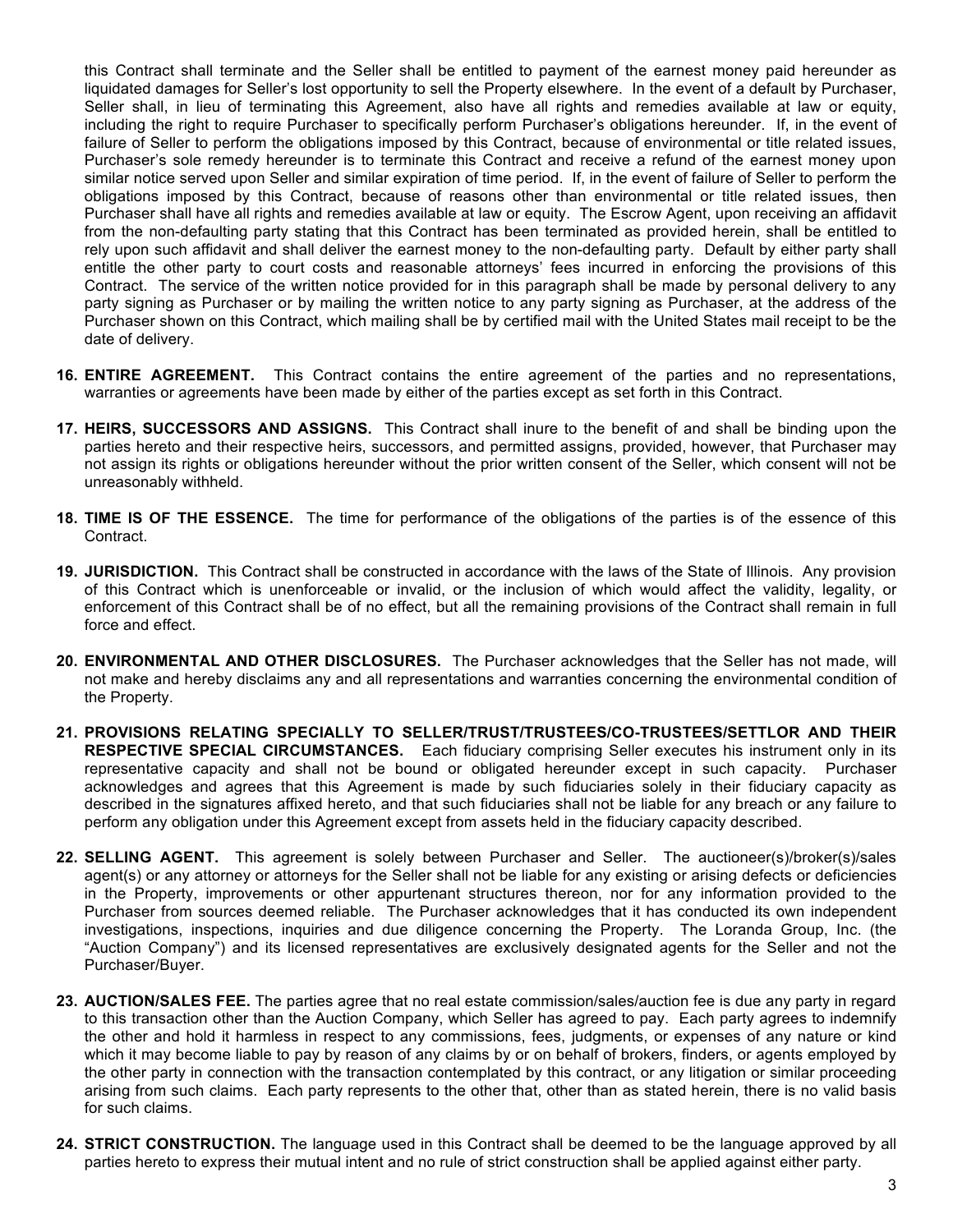this Contract shall terminate and the Seller shall be entitled to payment of the earnest money paid hereunder as liquidated damages for Seller's lost opportunity to sell the Property elsewhere. In the event of a default by Purchaser, Seller shall, in lieu of terminating this Agreement, also have all rights and remedies available at law or equity, including the right to require Purchaser to specifically perform Purchaser's obligations hereunder. If, in the event of failure of Seller to perform the obligations imposed by this Contract, because of environmental or title related issues, Purchaser's sole remedy hereunder is to terminate this Contract and receive a refund of the earnest money upon similar notice served upon Seller and similar expiration of time period. If, in the event of failure of Seller to perform the obligations imposed by this Contract, because of reasons other than environmental or title related issues, then Purchaser shall have all rights and remedies available at law or equity. The Escrow Agent, upon receiving an affidavit from the non-defaulting party stating that this Contract has been terminated as provided herein, shall be entitled to rely upon such affidavit and shall deliver the earnest money to the non-defaulting party. Default by either party shall entitle the other party to court costs and reasonable attorneys' fees incurred in enforcing the provisions of this Contract. The service of the written notice provided for in this paragraph shall be made by personal delivery to any party signing as Purchaser or by mailing the written notice to any party signing as Purchaser, at the address of the Purchaser shown on this Contract, which mailing shall be by certified mail with the United States mail receipt to be the date of delivery.

- **16. ENTIRE AGREEMENT.** This Contract contains the entire agreement of the parties and no representations, warranties or agreements have been made by either of the parties except as set forth in this Contract.
- **17. HEIRS, SUCCESSORS AND ASSIGNS.** This Contract shall inure to the benefit of and shall be binding upon the parties hereto and their respective heirs, successors, and permitted assigns, provided, however, that Purchaser may not assign its rights or obligations hereunder without the prior written consent of the Seller, which consent will not be unreasonably withheld.
- **18. TIME IS OF THE ESSENCE.** The time for performance of the obligations of the parties is of the essence of this Contract.
- **19. JURISDICTION.** This Contract shall be constructed in accordance with the laws of the State of Illinois. Any provision of this Contract which is unenforceable or invalid, or the inclusion of which would affect the validity, legality, or enforcement of this Contract shall be of no effect, but all the remaining provisions of the Contract shall remain in full force and effect.
- **20. ENVIRONMENTAL AND OTHER DISCLOSURES.** The Purchaser acknowledges that the Seller has not made, will not make and hereby disclaims any and all representations and warranties concerning the environmental condition of the Property.
- **21. PROVISIONS RELATING SPECIALLY TO SELLER/TRUST/TRUSTEES/CO-TRUSTEES/SETTLOR AND THEIR RESPECTIVE SPECIAL CIRCUMSTANCES.**Each fiduciary comprising Seller executes his instrument only in its representative capacity and shall not be bound or obligated hereunder except in such capacity. Purchaser acknowledges and agrees that this Agreement is made by such fiduciaries solely in their fiduciary capacity as described in the signatures affixed hereto, and that such fiduciaries shall not be liable for any breach or any failure to perform any obligation under this Agreement except from assets held in the fiduciary capacity described.
- **22. SELLING AGENT.** This agreement is solely between Purchaser and Seller. The auctioneer(s)/broker(s)/sales agent(s) or any attorney or attorneys for the Seller shall not be liable for any existing or arising defects or deficiencies in the Property, improvements or other appurtenant structures thereon, nor for any information provided to the Purchaser from sources deemed reliable. The Purchaser acknowledges that it has conducted its own independent investigations, inspections, inquiries and due diligence concerning the Property. The Loranda Group, Inc. (the "Auction Company") and its licensed representatives are exclusively designated agents for the Seller and not the Purchaser/Buyer.
- **23. AUCTION/SALES FEE.** The parties agree that no real estate commission/sales/auction fee is due any party in regard to this transaction other than the Auction Company, which Seller has agreed to pay. Each party agrees to indemnify the other and hold it harmless in respect to any commissions, fees, judgments, or expenses of any nature or kind which it may become liable to pay by reason of any claims by or on behalf of brokers, finders, or agents employed by the other party in connection with the transaction contemplated by this contract, or any litigation or similar proceeding arising from such claims. Each party represents to the other that, other than as stated herein, there is no valid basis for such claims.
- **24. STRICT CONSTRUCTION.** The language used in this Contract shall be deemed to be the language approved by all parties hereto to express their mutual intent and no rule of strict construction shall be applied against either party.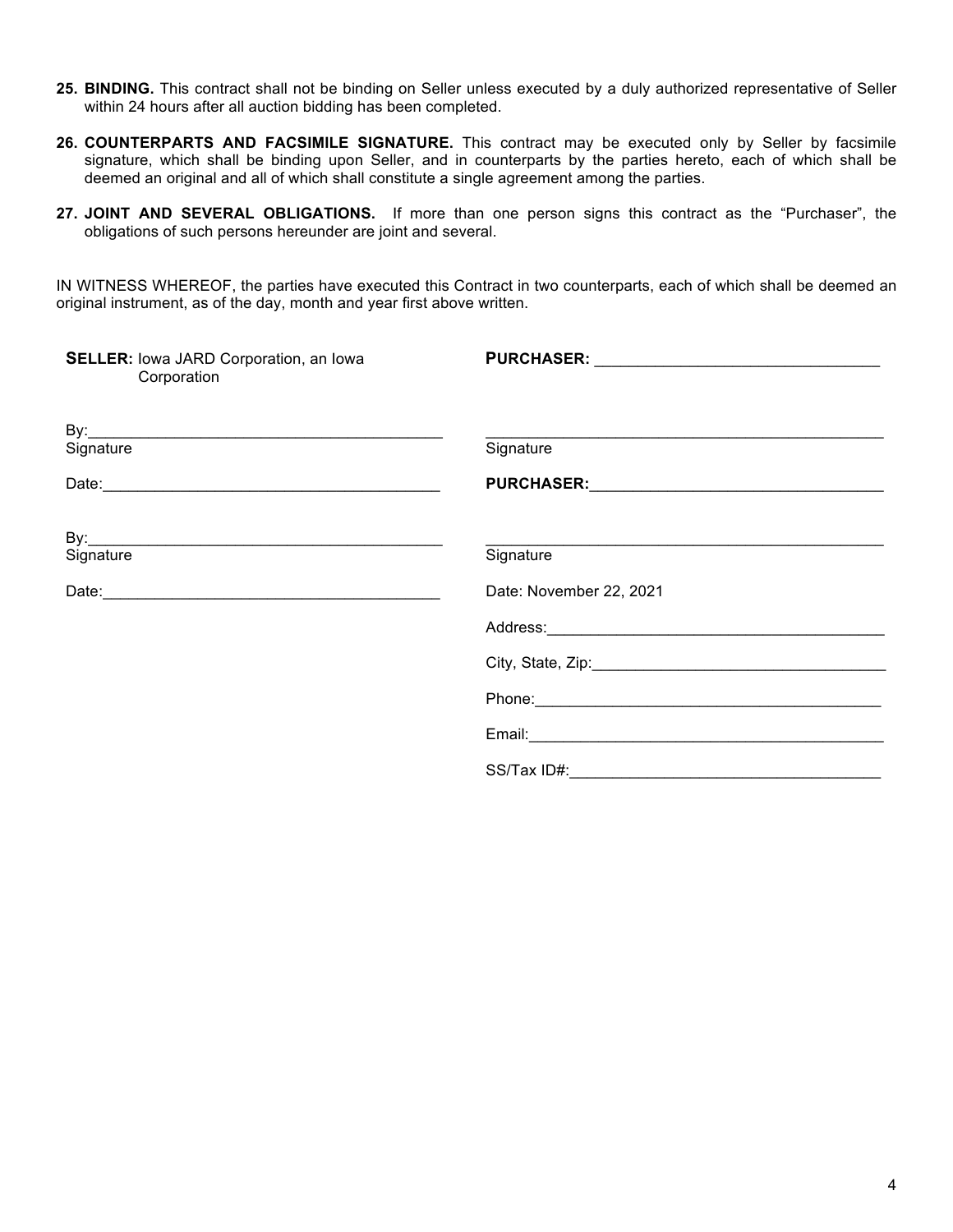- **25. BINDING.** This contract shall not be binding on Seller unless executed by a duly authorized representative of Seller within 24 hours after all auction bidding has been completed.
- **26. COUNTERPARTS AND FACSIMILE SIGNATURE.** This contract may be executed only by Seller by facsimile signature, which shall be binding upon Seller, and in counterparts by the parties hereto, each of which shall be deemed an original and all of which shall constitute a single agreement among the parties.
- **27. JOINT AND SEVERAL OBLIGATIONS.** If more than one person signs this contract as the "Purchaser", the obligations of such persons hereunder are joint and several.

IN WITNESS WHEREOF, the parties have executed this Contract in two counterparts, each of which shall be deemed an original instrument, as of the day, month and year first above written.

| <b>SELLER:</b> lowa JARD Corporation, an lowa<br>Corporation |                                                                                                                                                                                                                                |
|--------------------------------------------------------------|--------------------------------------------------------------------------------------------------------------------------------------------------------------------------------------------------------------------------------|
|                                                              |                                                                                                                                                                                                                                |
| Signature                                                    | Signature                                                                                                                                                                                                                      |
|                                                              |                                                                                                                                                                                                                                |
|                                                              |                                                                                                                                                                                                                                |
| Signature                                                    | Signature                                                                                                                                                                                                                      |
|                                                              | Date: November 22, 2021                                                                                                                                                                                                        |
|                                                              |                                                                                                                                                                                                                                |
|                                                              | Address: No. 1996. The Contract of the Contract of the Contract of the Contract of the Contract of the Contract of the Contract of the Contract of the Contract of the Contract of the Contract of the Contract of the Contrac |
|                                                              |                                                                                                                                                                                                                                |
|                                                              | Phone: 2008 2009 2010 2020 2021 2022 2023 2024 2022 2023 2024 2022 2023 2024 2022 2023 2024 2022 2023 2024 20                                                                                                                  |
|                                                              |                                                                                                                                                                                                                                |
|                                                              |                                                                                                                                                                                                                                |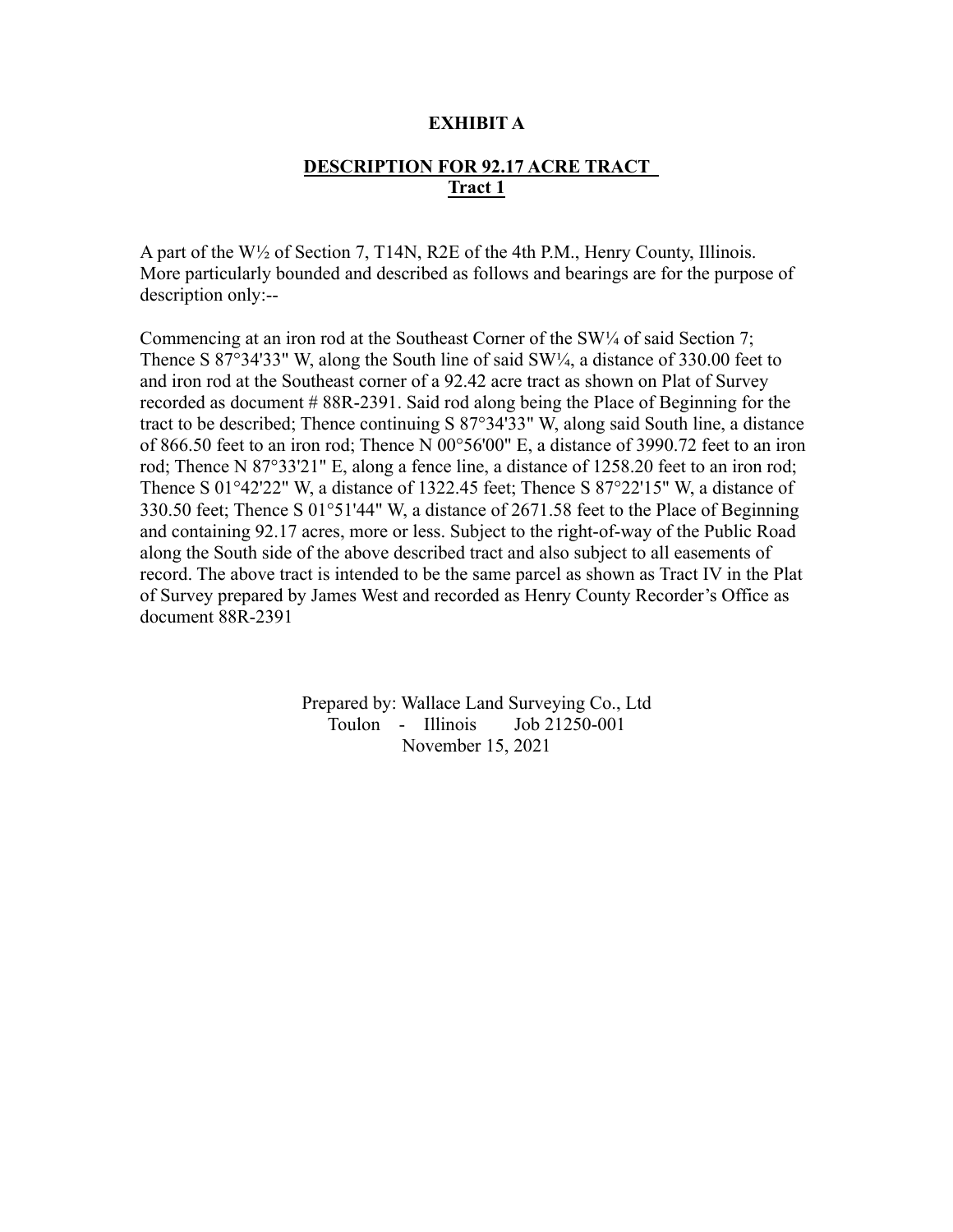### **EXHIBIT A**

# **DESCRIPTION FOR 92.17 ACRE TRACT Tract 1**

A part of the W½ of Section 7, T14N, R2E of the 4th P.M., Henry County, Illinois. More particularly bounded and described as follows and bearings are for the purpose of description only:--

Commencing at an iron rod at the Southeast Corner of the  $SW/4$  of said Section 7; Thence S 87°34'33" W, along the South line of said  $SW\frac{1}{4}$ , a distance of 330.00 feet to and iron rod at the Southeast corner of a 92.42 acre tract as shown on Plat of Survey recorded as document # 88R-2391. Said rod along being the Place of Beginning for the tract to be described; Thence continuing S 87°34'33" W, along said South line, a distance of 866.50 feet to an iron rod; Thence N 00°56'00" E, a distance of 3990.72 feet to an iron rod; Thence N 87°33'21" E, along a fence line, a distance of 1258.20 feet to an iron rod; Thence S 01°42'22" W, a distance of 1322.45 feet; Thence S 87°22'15" W, a distance of 330.50 feet; Thence S 01°51'44" W, a distance of 2671.58 feet to the Place of Beginning and containing 92.17 acres, more or less. Subject to the right-of-way of the Public Road along the South side of the above described tract and also subject to all easements of record. The above tract is intended to be the same parcel as shown as Tract IV in the Plat of Survey prepared by James West and recorded as Henry County Recorder's Office as document 88R-2391

> Prepared by: Wallace Land Surveying Co., Ltd Toulon - Illinois Job 21250-001 November 15, 2021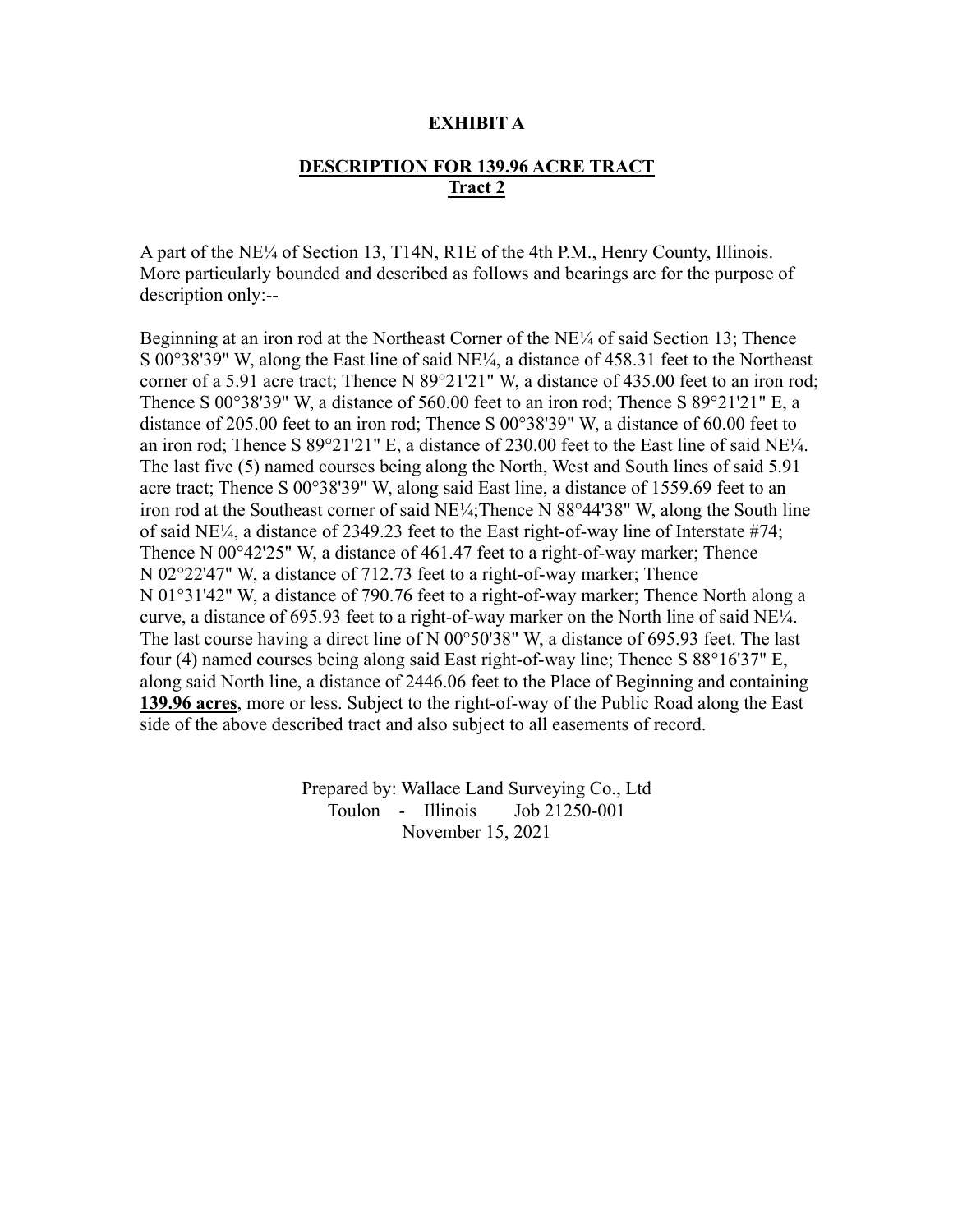### **EXHIBIT A**

# **DESCRIPTION FOR 139.96 ACRE TRACT Tract 2**

A part of the NE¼ of Section 13, T14N, R1E of the 4th P.M., Henry County, Illinois. More particularly bounded and described as follows and bearings are for the purpose of description only:--

Beginning at an iron rod at the Northeast Corner of the NE¼ of said Section 13; Thence S 00°38'39" W, along the East line of said NE¼, a distance of 458.31 feet to the Northeast corner of a 5.91 acre tract; Thence N 89°21'21" W, a distance of 435.00 feet to an iron rod; Thence S 00°38'39" W, a distance of 560.00 feet to an iron rod; Thence S 89°21'21" E, a distance of 205.00 feet to an iron rod; Thence S 00°38'39" W, a distance of 60.00 feet to an iron rod; Thence S 89°21'21" E, a distance of 230.00 feet to the East line of said NE¼. The last five (5) named courses being along the North, West and South lines of said 5.91 acre tract; Thence S 00°38'39" W, along said East line, a distance of 1559.69 feet to an iron rod at the Southeast corner of said NE¼;Thence N 88°44'38" W, along the South line of said NE¼, a distance of 2349.23 feet to the East right-of-way line of Interstate #74; Thence N 00°42'25" W, a distance of 461.47 feet to a right-of-way marker; Thence N 02°22'47" W, a distance of 712.73 feet to a right-of-way marker; Thence N 01°31'42" W, a distance of 790.76 feet to a right-of-way marker; Thence North along a curve, a distance of 695.93 feet to a right-of-way marker on the North line of said NE¼. The last course having a direct line of N 00°50'38" W, a distance of 695.93 feet. The last four (4) named courses being along said East right-of-way line; Thence S 88°16'37" E, along said North line, a distance of 2446.06 feet to the Place of Beginning and containing **139.96 acres**, more or less. Subject to the right-of-way of the Public Road along the East side of the above described tract and also subject to all easements of record.

> Prepared by: Wallace Land Surveying Co., Ltd Toulon - Illinois Job 21250-001 November 15, 2021